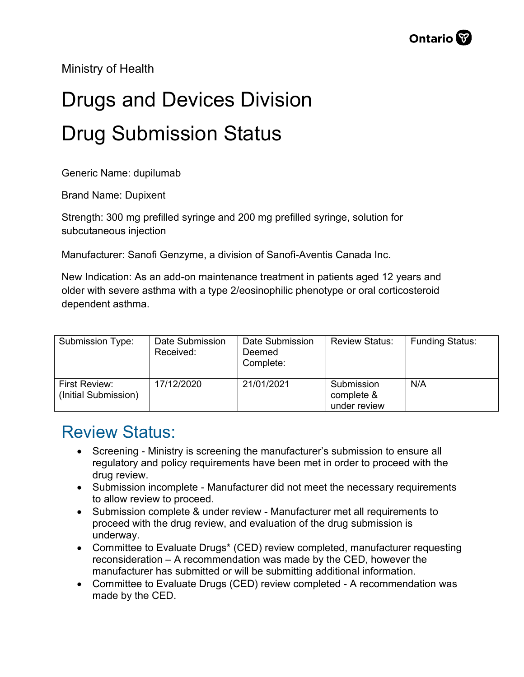Ministry of Health

## Drugs and Devices Division Drug Submission Status

Generic Name: dupilumab

Brand Name: Dupixent

Strength: 300 mg prefilled syringe and 200 mg prefilled syringe, solution for subcutaneous injection

Manufacturer: Sanofi Genzyme, a division of Sanofi-Aventis Canada Inc.

New Indication: As an add-on maintenance treatment in patients aged 12 years and older with severe asthma with a type 2/eosinophilic phenotype or oral corticosteroid dependent asthma.

| Submission Type:                      | Date Submission<br>Received: | Date Submission<br>Deemed<br>Complete: | <b>Review Status:</b>                    | <b>Funding Status:</b> |
|---------------------------------------|------------------------------|----------------------------------------|------------------------------------------|------------------------|
| First Review:<br>(Initial Submission) | 17/12/2020                   | 21/01/2021                             | Submission<br>complete &<br>under review | N/A                    |

## Review Status:

- Screening Ministry is screening the manufacturer's submission to ensure all regulatory and policy requirements have been met in order to proceed with the drug review.
- Submission incomplete Manufacturer did not meet the necessary requirements to allow review to proceed.
- Submission complete & under review Manufacturer met all requirements to proceed with the drug review, and evaluation of the drug submission is underway.
- Committee to Evaluate Drugs\* (CED) review completed, manufacturer requesting reconsideration – A recommendation was made by the CED, however the manufacturer has submitted or will be submitting additional information.
- Committee to Evaluate Drugs (CED) review completed A recommendation was made by the CED.